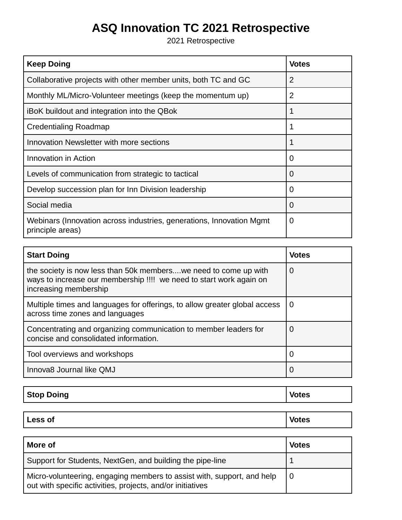## **ASQ Innovation TC 2021 Retrospective**

2021 Retrospective

| <b>Keep Doing</b>                                                                        | <b>Votes</b> |
|------------------------------------------------------------------------------------------|--------------|
| Collaborative projects with other member units, both TC and GC                           | 2            |
| Monthly ML/Micro-Volunteer meetings (keep the momentum up)                               | 2            |
| iBoK buildout and integration into the QBok                                              |              |
| Credentialing Roadmap                                                                    |              |
| Innovation Newsletter with more sections                                                 |              |
| Innovation in Action                                                                     | $\Omega$     |
| Levels of communication from strategic to tactical                                       | $\Omega$     |
| Develop succession plan for Inn Division leadership                                      | 0            |
| Social media                                                                             | $\Omega$     |
| Webinars (Innovation across industries, generations, Innovation Mgmt<br>principle areas) | O            |

| <b>Start Doing</b>                                                                                                                                               | <b>Votes</b>      |
|------------------------------------------------------------------------------------------------------------------------------------------------------------------|-------------------|
| the society is now less than 50k members we need to come up with<br>ways to increase our membership !!!! we need to start work again on<br>increasing membership | 0                 |
| Multiple times and languages for offerings, to allow greater global access<br>across time zones and languages                                                    | 0                 |
| Concentrating and organizing communication to member leaders for<br>concise and consolidated information.                                                        | O                 |
| Tool overviews and workshops                                                                                                                                     | $\mathbf{\Omega}$ |
| Innova8 Journal like QMJ                                                                                                                                         | $\Omega$          |

| <b>Stop Doing</b> | <b>Votes</b> |
|-------------------|--------------|
|                   |              |

| <b>Less of</b> | <b>ANCO</b> |
|----------------|-------------|
|----------------|-------------|

| More of                                                                                                                              | <b>Votes</b> |
|--------------------------------------------------------------------------------------------------------------------------------------|--------------|
| Support for Students, NextGen, and building the pipe-line                                                                            |              |
| Micro-volunteering, engaging members to assist with, support, and help<br>out with specific activities, projects, and/or initiatives |              |